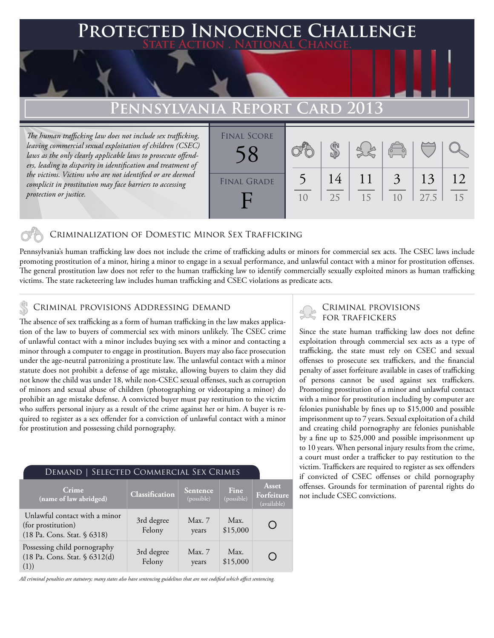### **FD INNOCENCE CHALLENGE State Action . National Change.**

## **Pennsylvania Report Card 2013**

*The human trafficking law does not include sex trafficking, leaving commercial sexual exploitation of children (CSEC) laws as the only clearly applicable laws to prosecute offenders, leading to disparity in identification and treatment of the victims. Victims who are not identified or are deemed complicit in prostitution may face barriers to accessing protection or justice.*



### Criminalization of Domestic Minor Sex Trafficking

Pennsylvania's human trafficking law does not include the crime of trafficking adults or minors for commercial sex acts. The CSEC laws include promoting prostitution of a minor, hiring a minor to engage in a sexual performance, and unlawful contact with a minor for prostitution offenses. The general prostitution law does not refer to the human trafficking law to identify commercially sexually exploited minors as human trafficking victims. The state racketeering law includes human trafficking and CSEC violations as predicate acts.

### Criminal provisions Addressing demand

The absence of sex trafficking as a form of human trafficking in the law makes application of the law to buyers of commercial sex with minors unlikely. The CSEC crime of unlawful contact with a minor includes buying sex with a minor and contacting a minor through a computer to engage in prostitution. Buyers may also face prosecution under the age-neutral patronizing a prostitute law. The unlawful contact with a minor statute does not prohibit a defense of age mistake, allowing buyers to claim they did not know the child was under 18, while non-CSEC sexual offenses, such as corruption of minors and sexual abuse of children (photographing or videotaping a minor) do prohibit an age mistake defense. A convicted buyer must pay restitution to the victim who suffers personal injury as a result of the crime against her or him. A buyer is required to register as a sex offender for a conviction of unlawful contact with a minor for prostitution and possessing child pornography.

| DEMAND   SELECTED COMMERCIAL SEX CRIMES                                            |                      |                        |                    |                                    |
|------------------------------------------------------------------------------------|----------------------|------------------------|--------------------|------------------------------------|
| Crime<br>(name of law abridged)                                                    | Classification       | Sentence<br>(possible) | Fine<br>(possible) | Asset<br>Forfeiture<br>(available) |
| Unlawful contact with a minor<br>(for prostitution)<br>(18 Pa. Cons. Stat. § 6318) | 3rd degree<br>Felony | Max. 7<br>years        | Max.<br>\$15,000   |                                    |
| Possessing child pornography<br>(18 Pa. Cons. Stat. § 6312(d)<br>(1))              | 3rd degree<br>Felony | Max. 7<br>years        | Max.<br>\$15,000   |                                    |

*All criminal penalties are statutory; many states also have sentencing guidelines that are not codified which affect sentencing.* 

# Criminal provisions

Since the state human trafficking law does not define exploitation through commercial sex acts as a type of trafficking, the state must rely on CSEC and sexual offenses to prosecute sex traffickers, and the financial penalty of asset forfeiture available in cases of trafficking of persons cannot be used against sex traffickers. Promoting prostitution of a minor and unlawful contact with a minor for prostitution including by computer are felonies punishable by fines up to \$15,000 and possible imprisonment up to 7 years. Sexual exploitation of a child and creating child pornography are felonies punishable by a fine up to \$25,000 and possible imprisonment up to 10 years. When personal injury results from the crime, a court must order a trafficker to pay restitution to the victim. Traffickers are required to register as sex offenders if convicted of CSEC offenses or child pornography offenses. Grounds for termination of parental rights do not include CSEC convictions.